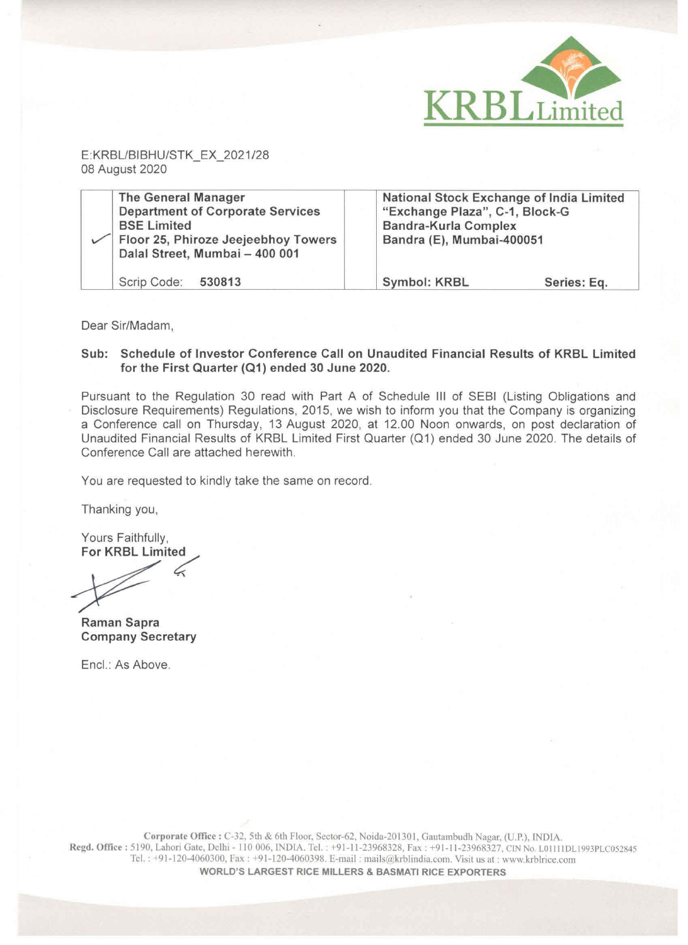

E:KRBL/BIBHU/STK\_EX\_2021/28 08 August 2020 E:KRBL/BIBHU/STK\_EX\_2021/28<br>08 August 2020<br>The General Manager

|                                                                                                                                                                      |                                                                                                                                        | KRBLLimited |
|----------------------------------------------------------------------------------------------------------------------------------------------------------------------|----------------------------------------------------------------------------------------------------------------------------------------|-------------|
| E:KRBL/BIBHU/STK_EX_2021/28<br>08 August 2020                                                                                                                        |                                                                                                                                        |             |
| <b>The General Manager</b><br><b>Department of Corporate Services</b><br><b>BSE Limited</b><br>Floor 25, Phiroze Jeejeebhoy Towers<br>Dalal Street, Mumbai - 400 001 | National Stock Exchange of India Limited<br>"Exchange Plaza", C-1, Block-G<br><b>Bandra-Kurla Complex</b><br>Bandra (E), Mumbai-400051 |             |
| 530813<br>Scrip Code:                                                                                                                                                | <b>Symbol: KRBL</b>                                                                                                                    | Series: Eq. |

Dear Sir/Madam,

## Sub: Schedule of Investor Conference Call on Unaudited Financial Results of KRBL Limited for the First Quarter (Q1) ended 30 June 2020.

Pursuant to the Regulation 30 read with Part A of Schedule Ill of SEBI (Listing Obligations and Disclosure Requirements) Regulations, 2015, we wish to inform you that the Company is organizing a Conference call on Thursday, 13 August 2020, at 12.00 Noon onwards, on post declaration of Unaudited Financial Results of KRBL Limited First Quarter (Q1) ended 30 June 2020. The details of Conference Call are attached herewith.

You are requested to kindly take the same on record.

Thanking you,

Yours Faithfully, For KRBL Limited

 $\diagup$ 

Raman Sapra Company Secretary

Encl.: As Above.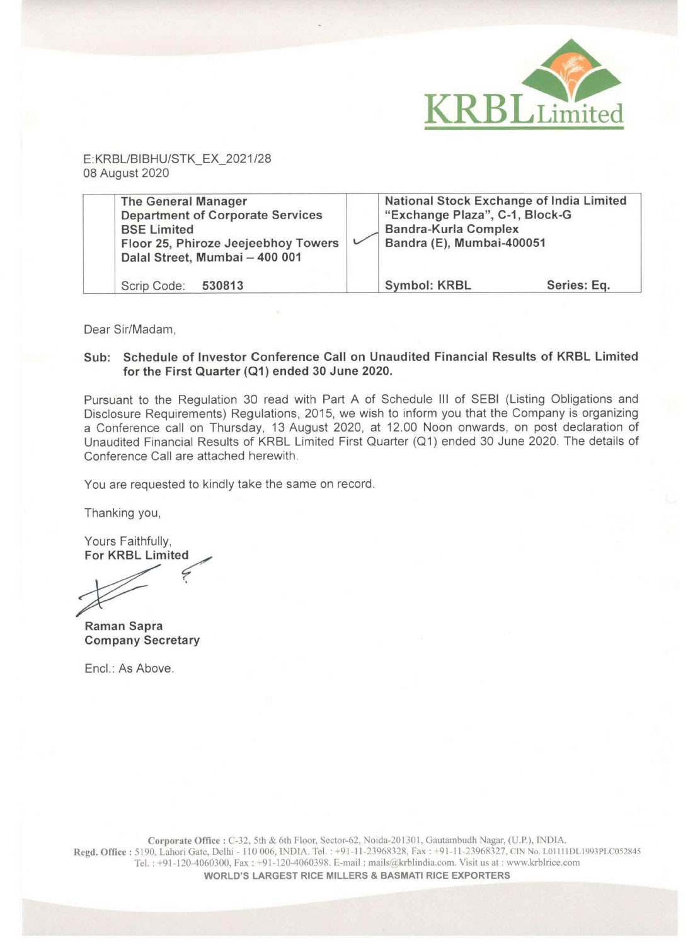

 E:KRBL/BIBHU/STK\_EX\_2021/28 08 August 2020

| <b>The General Manager</b><br><b>Department of Corporate Services</b><br><b>BSE Limited</b><br>Floor 25, Phiroze Jeejeebhoy Towers<br>Dalal Street, Mumbai - 400 001 | National Stock Exchange of India Limited<br>"Exchange Plaza", C-1, Block-G<br><b>Bandra-Kurla Complex</b><br>Bandra (E), Mumbai-400051 |             |
|----------------------------------------------------------------------------------------------------------------------------------------------------------------------|----------------------------------------------------------------------------------------------------------------------------------------|-------------|
| Scrip Code: 530813                                                                                                                                                   | <b>Symbol: KRBL</b>                                                                                                                    | Series: Eq. |

Dear Sir/Madam,

## Sub: Schedule of Investor Conference Call on Unaudited Financial Results of KRBL Limited for the First Quarter (Q1) ended 30 June 2020.

Pursuant to the Regulation 30 read with Part A of Schedule III of SEBI (Listing Obligations and Disclosure Requirements) Regulations, 2015, we wish to inform you that the Company is organizing a Conference call on Thursday, 13 August 2020, at 12.00 Noon onwards, on post declaration of Unaudited Financial Results of KRBL Limited First Quarter (Q1) ended 30 June 2020. The details of Conference Call are attached herewith.

You are requested to kindly take the same on record.

Thanking you,

Yours Faithfully, For KRBL Limited

Raman Sapra Company Secretary

Encl.: As Above.